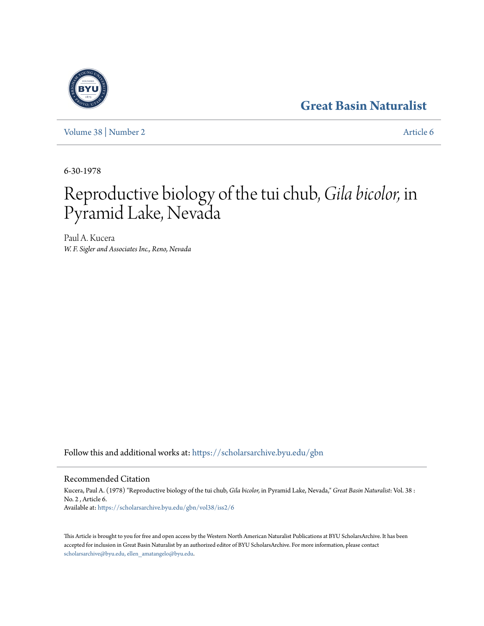# **[Great Basin Naturalist](https://scholarsarchive.byu.edu/gbn?utm_source=scholarsarchive.byu.edu%2Fgbn%2Fvol38%2Fiss2%2F6&utm_medium=PDF&utm_campaign=PDFCoverPages)**

[Volume 38](https://scholarsarchive.byu.edu/gbn/vol38?utm_source=scholarsarchive.byu.edu%2Fgbn%2Fvol38%2Fiss2%2F6&utm_medium=PDF&utm_campaign=PDFCoverPages) | [Number 2](https://scholarsarchive.byu.edu/gbn/vol38/iss2?utm_source=scholarsarchive.byu.edu%2Fgbn%2Fvol38%2Fiss2%2F6&utm_medium=PDF&utm_campaign=PDFCoverPages) [Article 6](https://scholarsarchive.byu.edu/gbn/vol38/iss2/6?utm_source=scholarsarchive.byu.edu%2Fgbn%2Fvol38%2Fiss2%2F6&utm_medium=PDF&utm_campaign=PDFCoverPages)

6-30-1978

# Reproductive biology of the tui chub, *Gila bicolor,* in Pyramid Lake, Nevada

Paul A. Kucera *W. F. Sigler and Associates Inc., Reno, Nevada*

Follow this and additional works at: [https://scholarsarchive.byu.edu/gbn](https://scholarsarchive.byu.edu/gbn?utm_source=scholarsarchive.byu.edu%2Fgbn%2Fvol38%2Fiss2%2F6&utm_medium=PDF&utm_campaign=PDFCoverPages)

# Recommended Citation

Kucera, Paul A. (1978) "Reproductive biology of the tui chub, *Gila bicolor,* in Pyramid Lake, Nevada," *Great Basin Naturalist*: Vol. 38 : No. 2 , Article 6. Available at: [https://scholarsarchive.byu.edu/gbn/vol38/iss2/6](https://scholarsarchive.byu.edu/gbn/vol38/iss2/6?utm_source=scholarsarchive.byu.edu%2Fgbn%2Fvol38%2Fiss2%2F6&utm_medium=PDF&utm_campaign=PDFCoverPages)

This Article is brought to you for free and open access by the Western North American Naturalist Publications at BYU ScholarsArchive. It has been accepted for inclusion in Great Basin Naturalist by an authorized editor of BYU ScholarsArchive. For more information, please contact [scholarsarchive@byu.edu, ellen\\_amatangelo@byu.edu.](mailto:scholarsarchive@byu.edu,%20ellen_amatangelo@byu.edu)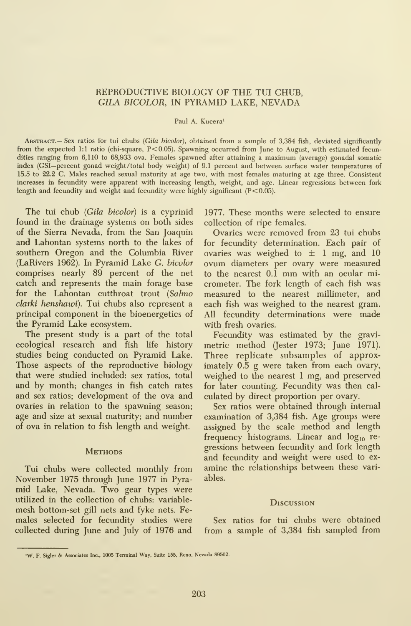## REPRODUCTIVE BIOLOGY OF THE TUI CHUB, GILA BICOLOR, IN PYRAMID LAKE, NEVADA

#### Paul A. Kucera'

ABSTRACT.— Sex ratios for tui chubs (Gila bicolor), obtained from a sample of 3,384 fish, deviated significantly from the expected 1:1 ratio (chi-square, P<0.05). Spawning occurred from June to August, with estimated fecundities ranging from 6,110 to 68,933 ova. Females spawned after attaining <sup>a</sup> maximum (average) gonadal somatic index (GSI—percent gonad weight/total body weight) of 9.1 percent and between surface water temperatures of 15.5 to 22.2 C. Males reached sexual maturity at age two, with most females maturing at age three. Consistent increases in fecundity were apparent with increasing length, weight, and age. Linear regressions between fork length and fecundity and weight and fecundity were highly significant (P<0.05).

The tui chub (Gila bicolor) is a cyprinid found in the drainage systems on both sides of the Sierra Nevada, from the San Joaquin and Lahontan systems north to the lakes of southern Oregon and the Columbia River (LaRivers 1962). In Pyramid Lake G. bicolor comprises nearly 89 percent of the net catch and represents the main forage base for the Lahontan cutthroat trout (Salmo clarki henshawi). Tui chubs also represent a principal component in the bioenergetics of the Pyramid Lake ecosystem.

The present study is a part of the total ecological research and fish life history studies being conducted on Pyramid Lake. Those aspects of the reproductive biology that were studied included: sex ratios, total and by month; changes in fish catch rates and sex ratios; development of the ova and ovaries in relation to the spawning season; age and size at sexual maturity; and number of ova in relation to fish length and weight.

#### **METHODS**

Tui chubs were collected monthly from November 1975 through June 1977 in Pyramid Lake, Nevada. Two gear types were utilized in the collection of chubs: variable mesh bottom-set gill nets and fyke nets. Fe males selected for fecundity studies were collected during June and July of 1976 and

1977. These months were selected to ensure collection of ripe females.

Ovaries were removed from 23 tui chubs for fecundity determination. Each pair of ovaries was weighed to  $\pm$  1 mg, and 10 ovum diameters per ovary were measured to the nearest 0.1 mm with an ocular micrometer. The fork length of each fish was measured to the nearest millimeter, and each fish was weighed to the nearest gram. All fecundity determinations were made with fresh ovaries.

Fecundity was estimated by the gravimetric method (Jester 1973; June 1971). Three replicate subsamples of approximately 0.5 g were taken from each ovary, weighed to the nearest <sup>1</sup> mg, and preserved for later counting. Fecundity was then cal culated by direct proportion per ovary.

Sex ratios were obtained through internal examination of 3,384 fish. Age groups were assigned by the scale method and length frequency histograms. Linear and  $log_{10}$  regressions between fecundity and fork length and fecundity and weight were used to ex amine the relationships between these variables.

#### **Discussion**

Sex ratios for tui chubs were obtained from a sample of 3,384 fish sampled from

<sup>&#</sup>x27;W. F. Sigler & Associates Inc., <sup>1005</sup> Terminal Way, Suite 155, Reno, Nevada 89502.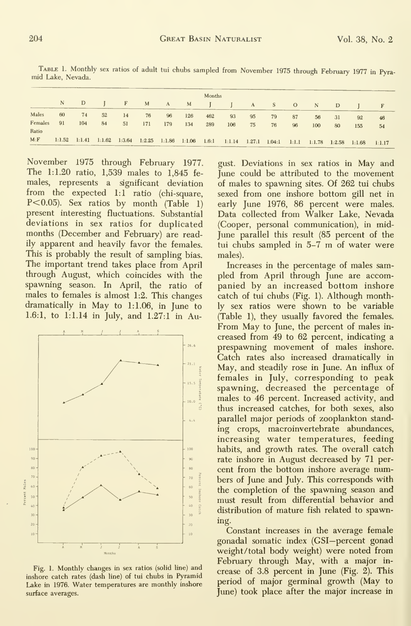|                  | Months |               |    |       |     |     |         |     |                                                                                                               |    |       |    |       |     |     |    |
|------------------|--------|---------------|----|-------|-----|-----|---------|-----|---------------------------------------------------------------------------------------------------------------|----|-------|----|-------|-----|-----|----|
|                  |        | $N$ D $\vert$ |    | $F$ M |     |     | A M J J |     |                                                                                                               |    | A S O |    | $N$ D |     |     |    |
| Males            | 60     | 74            | 52 | 14    | 76  | 96  | 126     | 462 | 93                                                                                                            | 95 | 79    | 87 | 56    | -31 | 92  | 46 |
| Females<br>Ratio | 91     | 104           | 84 | 51    | 171 | 179 | 134     | 289 | 106                                                                                                           | 75 | 76    | 96 | 100   | 80  | 155 | 54 |
| M: F             |        |               |    |       |     |     |         |     | 1:1.52 1:1.41 1:1.62 1:3.64 1:2.25 1:1.86 1:1.06 1.6:1 1:1.14 1.27:1 1.04:1 1:1.1 1:1.78 1:2.58 1:1.68 1:1.17 |    |       |    |       |     |     |    |

Table 1. Monthly sex ratios of adult tui chubs sampled from November <sup>1975</sup> through February <sup>1977</sup> in Pyra- mid Lake, Nevada.

November 1975 through February 1977. The 1:1.20 ratio,  $1,539$  males to  $1,845$  females, represents a significant deviation from the expected 1:1 ratio (chi-square,  $P<0.05$ ). Sex ratios by month (Table 1) present interesting fluctuations. Substantial deviations in sex ratios for duplicated months (December and February) are readily apparent and heavily favor the females. This is probably the result of sampling bias. The important trend takes place from April through August, which coincides with the spawning season. In April, the ratio of males to females is almost 1:2. This changes dramatically in May to 1:1.06, in June to 1.6:1, to 1:1.14 in July, and 1.27:1 in Au-



Fig. 1. Monthly changes in sex ratios (solid line) and inshore catch rates (dash line) of tui chubs in Pyramid Lake in 1976. Water temperatures are monthly inshore surface averages.

gust. Deviations in sex ratios in May and June could be attributed to the movement of males to spawning sites. Of 262 tui chubs sexed from one inshore bottom gill net in early June 1976, 86 percent were males. Data collected from Walker Lake, Nevada (Cooper, personal communication), in mid-June parallel this result (85 percent of the tui chubs sampled in 5-7 m of water were males).

Increases in the percentage of males sampled from April through June are accompanied by an increased bottom inshore catch of tui chubs (Fig. 1). Although monthly sex ratios were shown to be variable (Table 1), they usually favored the females. From May to June, the percent of males increased from 49 to 62 percent, indicating a prespawning movement of males inshore. Catch rates also increased dramatically in May, and steadily rose in June. An influx of females in July, corresponding to peak spawning, decreased the percentage of males to 46 percent. Increased activity, and thus increased catches, for both sexes, also parallel major periods of zooplankton standing crops, macroinvertebrate abundances, increasing water temperatures, feeding habits, and growth rates. The overall catch rate inshore in August decreased by 71 percent from the bottom inshore average numbers of June and July. This corresponds with the completion of the spawning season and must result from differential behavior and distribution of mature fish related to spawning.

Constant increases in the average female gonadal somatic index (GSI-percent gonad weight/total body weight) were noted from February through May, with a major increase of 3.8 percent in June (Fig. 2). This period of major germinal growth (May to June) took place after the major increase in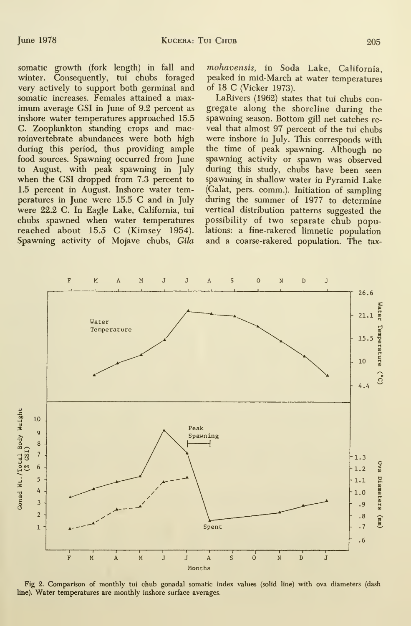somatic growth (fork length) in fall and winter. Consequently, tui chubs foraged very actively to support both germinal and somatic increases. Females attained a max imum average GSI in June of 9.2 percent as inshore water temperatures approached 15.5 C. Zooplankton standing crops and macroinvertebrate abundances were both high during this period, thus providing ample food sources. Spawning occurred from June to August, with peak spawning in July when the GSI dropped from 7.3 percent to 1.5 percent in August. Inshore water temperatiues in June were 15.5 C and in July were 22.2 C. In Eagle Lake, California, tui chubs spawned when water temperatures reached about 15.5 C (Kimsey 1954). Spawning activity of Mojave chubs, Gila

mohavensis, in Soda Lake, California, peaked in mid-March at water temperatures of 18 C (Vicker 1973).

LaRivers (1962) states that tui chubs con gregate along the shoreline during the spawning season. Bottom gill net catches re veal that almost 97 percent of the tui chubs were inshore in July. This corresponds with the time of peak spawning. Although no spawning activity or spawn was observed during this study, chubs have been seen spawning in shallow water in Pyramid Lake (Galat, pers. comm.). Initiation of sampling during the summer of 1977 to determine vertical distribution patterns suggested the possibility of two separate chub populations: a fine-rakered limnetic population and a coarse-rakered population. The tax-



Fig 2. Comparison of monthly tui chub gonadal somatic index values (solid line) with ova diameters (dash line). Water temperatures are monthly inshore surface averages.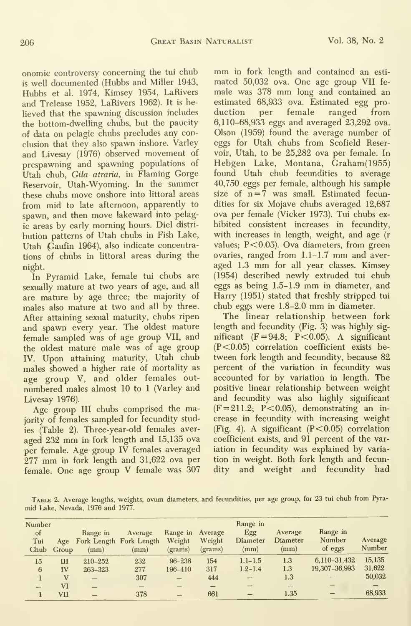onomic controversy concerning the tui chub is well documented (Hubbs and Miller 1943, Hubbs et al. 1974, Kimsey 1954, LaRivers and Trelease 1952, LaRivers 1962). It is believed that the spawning discussion includes duction the bottom-dwelling chubs, but the paucity of data on pelagic chubs precludes any conclusion that they also spawn inshore. Varley and Livesay (1976) observed movement of prespawning and spawning populations of Utah chub, Gila atraria, in Flaming Gorge Reservoir, Utah-Wyoming. In the summer these chubs move onshore into littoral areas from mid to late afternoon, apparently to spawn, and then move lakeward into pelagic areas by early morning hours. Diel distri bution patterns of Utah chubs in Fish Lake, Utah Gaufin 1964), also indicate concentrations of chubs in littoral areas during the night.

In Pyramid Lake, female tui chubs are sexually mature at two years of age, and all are mature by age three; the majority of males also mature at two and all by three. After attaining sexual maturity, chubs ripen and spawn every year. The oldest mature female sampled was of age group VII, and the oldest mature male was of age group IV. Upon attaining maturity, Utah chub males showed a higher rate of mortality as age group V, and older females out numbered males almost 10 to <sup>1</sup> (Varley and Livesay 1976).

Age group III chubs comprised the majority of females sampled for fecundity studies (Table 2). Three-year-old females aver aged <sup>232</sup> mm in fork length and 15,135 ova per female. Age group IV females averaged <sup>277</sup> mm in fork length and 31,622 ova per female. One age group V female was 307 mm in fork length and contained an esti mated 50,032 ova. One age group VII fe male was <sup>378</sup> mm long and contained an estimated 68,933 ova. Estimated egg pro per female ranged from 6,110-68,933 eggs and averaged 23,292 ova. Olson (1959) found the average number of eggs for Utah chubs from Scofield Reservoir, Utah, to be 25,282 ova per female. In Hebgen Lake, Montana, Graham(1955) found Utah chub fecundities to average 40,750 eggs per female, although his sample size of  $n = 7$  was small. Estimated fecundities for six Mojave chubs averaged 12,687 ova per female (Vicker 1973). Tui chubs ex hibited consistent increases in fecundity, with increases in length, weight, and age (r values; P<0.05). Ova diameters, from green ovaries, ranged from 1.1-1.7 mm and aver aged 1.3 mm for all year classes. Kimsey (1954) described newly extruded tui chub eggs as being 1.5-1.9 mm in diameter, and Harry (1951) stated that freshly stripped tui chub eggs were 1.8-2.0 mm in diameter.

The linear relationship between fork length and fecundity (Fig. 3) was highly sig nificant  $(F = 94.8; P < 0.05)$ . A significant (P<0.05) correlation coefficient exists between fork length and fecundity, because 82 percent of the variation in fecundity was accounted for by variation in length. The positive linear relationship between weight and fecundity was also highly significant  $(F = 211.2; P < 0.05)$ , demonstrating an increase in fecundity with increasing weight (Fig. 4). A significant  $(P<0.05)$  correlation coefficient exists, and 91 percent of the variation in fecundity was explained by varia tion in weight. Both fork length and fecundity and weight and fecundity had

Table 2. Average lengths, weights, ovum diameters, and fecundities, per age group, for 23 tui chub from Pyra mid Lake, Nevada, 1976 and 1977.

| Number<br>of<br>Tui | Chub Group | Range in<br>(mm) | Average<br>Age Fork Length Fork Length<br>(mm) | Range in<br>Weight<br>(grams) | Average<br>Weight<br>(grams) | Range in<br>Egg<br><b>Diameter</b><br>(mm) | Average<br>Diameter<br>(mm) | Range in<br>Number<br>of eggs | Average<br>Number |
|---------------------|------------|------------------|------------------------------------------------|-------------------------------|------------------------------|--------------------------------------------|-----------------------------|-------------------------------|-------------------|
| 15                  | Ш          | 210-252          | 232                                            | $96 - 238$                    | 154                          | $1.1 - 1.5$                                | 1.3                         | 6.110-31.432                  | 15,135            |
| 6                   | IV         | 263-323          | 277                                            | 196-410                       | 317                          | $1.2 - 1.4$                                | 1.3                         | 19,307-36,993                 | 31,622            |
|                     | v          |                  | 307                                            | $\overline{\phantom{0}}$      | 444                          |                                            | 1.3                         |                               | 50,032            |
|                     | VI         |                  |                                                |                               |                              |                                            |                             |                               |                   |
|                     | VII        |                  | 378                                            | -                             | 661                          | –                                          | 1.35                        |                               | 68,933            |